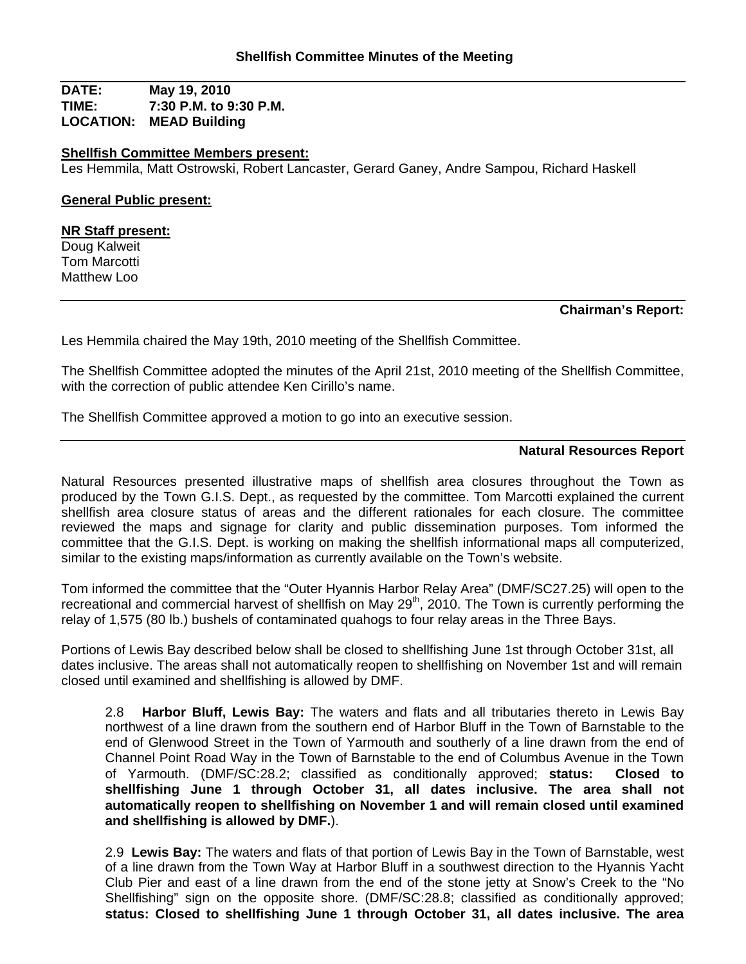**DATE: May 19, 2010 TIME: 7:30 P.M. to 9:30 P.M. LOCATION: MEAD Building**

### **Shellfish Committee Members present:**

Les Hemmila, Matt Ostrowski, Robert Lancaster, Gerard Ganey, Andre Sampou, Richard Haskell

## **General Public present:**

#### **NR Staff present:**

Doug Kalweit Tom Marcotti Matthew Loo

### **Chairman's Report:**

Les Hemmila chaired the May 19th, 2010 meeting of the Shellfish Committee.

The Shellfish Committee adopted the minutes of the April 21st, 2010 meeting of the Shellfish Committee, with the correction of public attendee Ken Cirillo's name.

The Shellfish Committee approved a motion to go into an executive session.

### **Natural Resources Report**

Natural Resources presented illustrative maps of shellfish area closures throughout the Town as produced by the Town G.I.S. Dept., as requested by the committee. Tom Marcotti explained the current shellfish area closure status of areas and the different rationales for each closure. The committee reviewed the maps and signage for clarity and public dissemination purposes. Tom informed the committee that the G.I.S. Dept. is working on making the shellfish informational maps all computerized, similar to the existing maps/information as currently available on the Town's website.

Tom informed the committee that the "Outer Hyannis Harbor Relay Area" (DMF/SC27.25) will open to the recreational and commercial harvest of shellfish on May 29<sup>th</sup>, 2010. The Town is currently performing the relay of 1,575 (80 lb.) bushels of contaminated quahogs to four relay areas in the Three Bays.

Portions of Lewis Bay described below shall be closed to shellfishing June 1st through October 31st, all dates inclusive. The areas shall not automatically reopen to shellfishing on November 1st and will remain closed until examined and shellfishing is allowed by DMF.

2.8 **Harbor Bluff, Lewis Bay:** The waters and flats and all tributaries thereto in Lewis Bay northwest of a line drawn from the southern end of Harbor Bluff in the Town of Barnstable to the end of Glenwood Street in the Town of Yarmouth and southerly of a line drawn from the end of Channel Point Road Way in the Town of Barnstable to the end of Columbus Avenue in the Town of Yarmouth. (DMF/SC:28.2; classified as conditionally approved; **status: Closed to shellfishing June 1 through October 31, all dates inclusive. The area shall not automatically reopen to shellfishing on November 1 and will remain closed until examined and shellfishing is allowed by DMF.**).

2.9 **Lewis Bay:** The waters and flats of that portion of Lewis Bay in the Town of Barnstable, west of a line drawn from the Town Way at Harbor Bluff in a southwest direction to the Hyannis Yacht Club Pier and east of a line drawn from the end of the stone jetty at Snow's Creek to the "No Shellfishing" sign on the opposite shore. (DMF/SC:28.8; classified as conditionally approved; **status: Closed to shellfishing June 1 through October 31, all dates inclusive. The area**